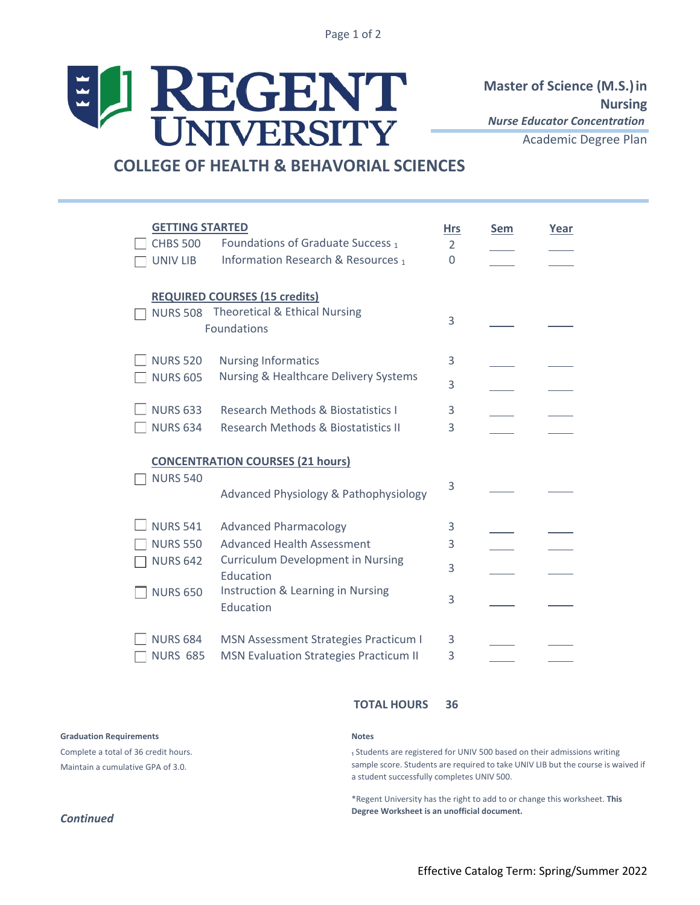Page 1 of 2

# ELI REGENT

**Master of Science (M.S.)in Nursing** *Nurse Educator Concentration*

Academic Degree Plan

# **COLLEGE OF HEALTH & BEHAVORIAL SCIENCES**

| <b>GETTING STARTED</b><br><b>CHBS 500</b> | Foundations of Graduate Success 1                     | <b>Hrs</b><br>2 | <b>Sem</b> | Year |
|-------------------------------------------|-------------------------------------------------------|-----------------|------------|------|
| <b>UNIV LIB</b>                           | Information Research & Resources 1                    | 0               |            |      |
|                                           | <b>REQUIRED COURSES (15 credits)</b>                  |                 |            |      |
|                                           | NURS 508 Theoretical & Ethical Nursing                | 3               |            |      |
| Foundations                               |                                                       |                 |            |      |
| <b>NURS 520</b>                           | <b>Nursing Informatics</b>                            | 3               |            |      |
| <b>NURS 605</b>                           | Nursing & Healthcare Delivery Systems                 | 3               |            |      |
| <b>NURS 633</b>                           | <b>Research Methods &amp; Biostatistics I</b>         | 3               |            |      |
| <b>NURS 634</b>                           | Research Methods & Biostatistics II                   | 3               |            |      |
| <b>CONCENTRATION COURSES (21 hours)</b>   |                                                       |                 |            |      |
| <b>NURS 540</b>                           |                                                       | 3               |            |      |
|                                           | Advanced Physiology & Pathophysiology                 |                 |            |      |
| <b>NURS 541</b>                           | <b>Advanced Pharmacology</b>                          | 3               |            |      |
| <b>NURS 550</b>                           | <b>Advanced Health Assessment</b>                     | 3               |            |      |
| <b>NURS 642</b>                           | <b>Curriculum Development in Nursing</b><br>Education | 3               |            |      |
| <b>NURS 650</b>                           | Instruction & Learning in Nursing<br>Education        | 3               |            |      |
| <b>NURS 684</b>                           | <b>MSN Assessment Strategies Practicum I</b>          | 3               |            |      |
| <b>NURS 685</b>                           | <b>MSN Evaluation Strategies Practicum II</b>         | 3               |            |      |

## **TOTAL HOURS 36**

**Graduation Requirements**

Complete a total of 36 credit hours. Maintain a cumulative GPA of 3.0.

### **Notes**

1 Students are registered for UNIV 500 based on their admissions writing sample score. Students are required to take UNIV LIB but the course is waived if a student successfully completes UNIV 500.

\*Regent University has the right to add to or change this worksheet. **This Degree Worksheet is an unofficial document.**

## *Continued*